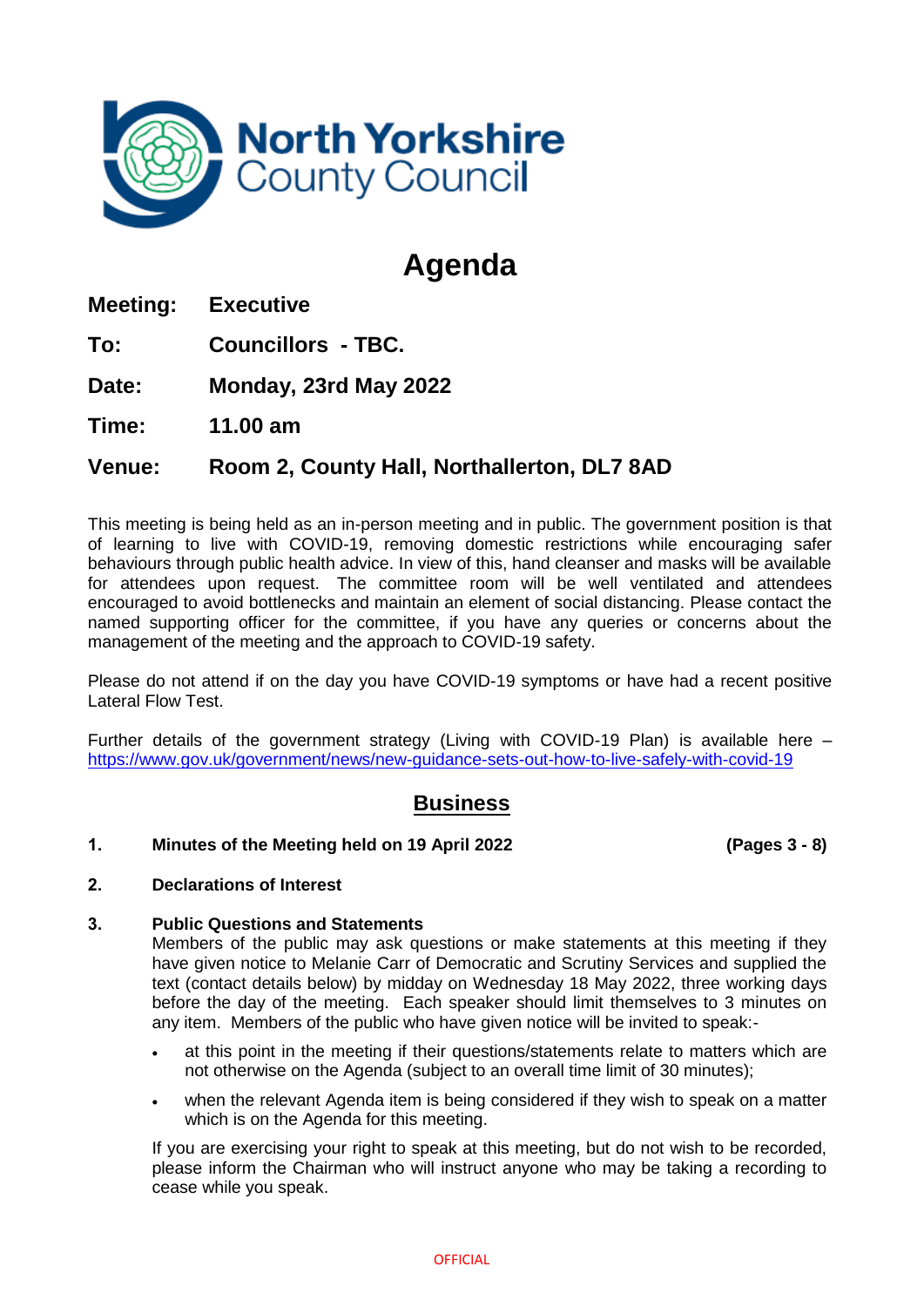

# **Agenda**

**Meeting: Executive**

**To: Councillors - TBC.**

**Date: Monday, 23rd May 2022**

**Time: 11.00 am**

## **Venue: Room 2, County Hall, Northallerton, DL7 8AD**

This meeting is being held as an in-person meeting and in public. The government position is that of learning to live with COVID-19, removing domestic restrictions while encouraging safer behaviours through public health advice. In view of this, hand cleanser and masks will be available for attendees upon request. The committee room will be well ventilated and attendees encouraged to avoid bottlenecks and maintain an element of social distancing. Please contact the named supporting officer for the committee, if you have any queries or concerns about the management of the meeting and the approach to COVID-19 safety.

Please do not attend if on the day you have COVID-19 symptoms or have had a recent positive Lateral Flow Test.

Further details of the government strategy (Living with COVID-19 Plan) is available here – <https://www.gov.uk/government/news/new-guidance-sets-out-how-to-live-safely-with-covid-19>

# **Business**

### **1. Minutes of the Meeting held on 19 April 2022 (Pages 3 - 8)**

### **2. Declarations of Interest**

### **3. Public Questions and Statements**

Members of the public may ask questions or make statements at this meeting if they have given notice to Melanie Carr of Democratic and Scrutiny Services and supplied the text (contact details below) by midday on Wednesday 18 May 2022, three working days before the day of the meeting. Each speaker should limit themselves to 3 minutes on any item. Members of the public who have given notice will be invited to speak:-

- at this point in the meeting if their questions/statements relate to matters which are not otherwise on the Agenda (subject to an overall time limit of 30 minutes);
- when the relevant Agenda item is being considered if they wish to speak on a matter which is on the Agenda for this meeting.

If you are exercising your right to speak at this meeting, but do not wish to be recorded, please inform the Chairman who will instruct anyone who may be taking a recording to cease while you speak.